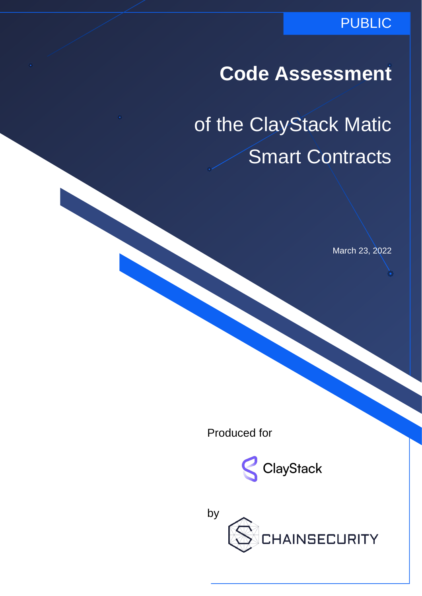## **Code Assessment**

# of the ClayStack Matic Smart Contracts

March 23, 2022

Produced for



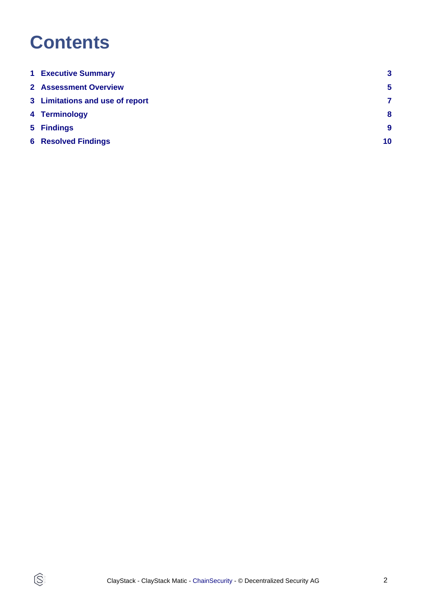## **Contents**

 $\circledS$ 

| <b>1 Executive Summary</b>      | $\mathbf{3}$   |
|---------------------------------|----------------|
| 2 Assessment Overview           | $\overline{5}$ |
| 3 Limitations and use of report | 7              |
| 4 Terminology                   | 8              |
| 5 Findings                      | 9              |
| <b>6 Resolved Findings</b>      | 10             |
|                                 |                |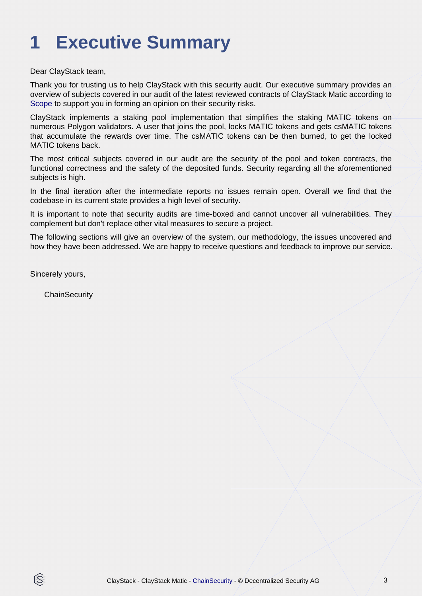# <span id="page-2-0"></span>**1 Executive Summary**

Dear ClayStack team,

Thank you for trusting us to help ClayStack with this security audit. Our executive summary provides an overview of subjects covered in our audit of the latest reviewed contracts of ClayStack Matic according to [Scope](#page-4-1) to support you in forming an opinion on their security risks.

ClayStack implements a staking pool implementation that simplifies the staking MATIC tokens on numerous Polygon validators. A user that joins the pool, locks MATIC tokens and gets csMATIC tokens that accumulate the rewards over time. The csMATIC tokens can be then burned, to get the locked MATIC tokens back.

The most critical subjects covered in our audit are the security of the pool and token contracts, the functional correctness and the safety of the deposited funds. Security regarding all the aforementioned subjects is high.

In the final iteration after the intermediate reports no issues remain open. Overall we find that the codebase in its current state provides a high level of security.

It is important to note that security audits are time-boxed and cannot uncover all vulnerabilities. They complement but don't replace other vital measures to secure a project.

The following sections will give an overview of the system, our methodology, the issues uncovered and how they have been addressed. We are happy to receive questions and feedback to improve our service.

Sincerely yours,

ß

**ChainSecurity**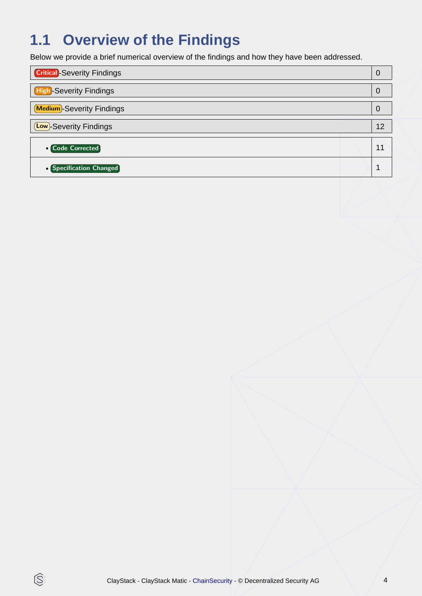## **1.1 Overview of the Findings**

Below we provide a brief numerical overview of the findings and how they have been addressed.

| <b>Critical</b> -Severity Findings |    |
|------------------------------------|----|
| <b>High-Severity Findings</b>      |    |
| <b>Medium</b> -Severity Findings   |    |
| <b>Low</b> -Severity Findings      | 12 |
| <b>• Code Corrected</b>            | 11 |
| • Specification Changed            |    |

 $\circledS$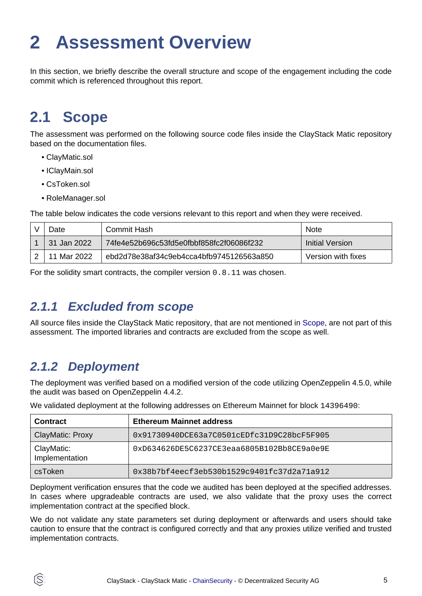# <span id="page-4-2"></span><span id="page-4-0"></span>**2 Assessment Overview**

In this section, we briefly describe the overall structure and scope of the engagement including the code commit which is referenced throughout this report.

## <span id="page-4-1"></span>**2.1 Scope**

The assessment was performed on the following source code files inside the ClayStack Matic repository based on the documentation files.

- ClayMatic.sol
- IClayMain.sol
- CsToken.sol
- RoleManager.sol

The table below indicates the code versions relevant to this report and when they were received.

| )ate        | Commit Hash                              | <b>Note</b>        |
|-------------|------------------------------------------|--------------------|
| 31 Jan 2022 | 74fe4e52b696c53fd5e0fbbf858fc2f06086f232 | Initial Version    |
| 11 Mar 2022 | ebd2d78e38af34c9eb4cca4bfb9745126563a850 | Version with fixes |

For the solidity smart contracts, the compiler version 0.8.11 was chosen.

### **2.1.1 Excluded from scope**

All source files inside the ClayStack Matic repository, that are not mentioned in [Scope](#page-4-1), are not part of this assessment. The imported libraries and contracts are excluded from the scope as well.

### **2.1.2 Deployment**

ĺS

The deployment was verified based on a modified version of the code utilizing OpenZeppelin 4.5.0, while the audit was based on OpenZeppelin 4.4.2.

| <b>Contract</b>              | <b>Ethereum Mainnet address</b>              |
|------------------------------|----------------------------------------------|
| ClayMatic: Proxy             | 0x91730940DCE63a7C0501cEDfc31D9C28bcF5F905   |
| ClayMatic:<br>Implementation | $0xD634626DE5C6237CE3eaa6805B102Bb8CE9a0e9E$ |
| csToken                      | 0x38b7bf4eecf3eb530b1529c9401fc37d2a71a912   |

We validated deployment at the following addresses on Ethereum Mainnet for block 14396490:

Deployment verification ensures that the code we audited has been deployed at the specified addresses. In cases where upgradeable contracts are used, we also validate that the proxy uses the correct implementation contract at the specified block.

We do not validate any state parameters set during deployment or afterwards and users should take caution to ensure that the contract is configured correctly and that any proxies utilize verified and trusted implementation contracts.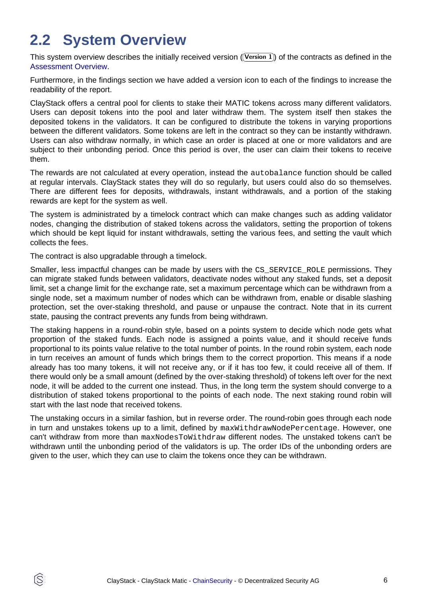## **2.2 System Overview**

This system overview describes the initially received version ((Version 1)) of the contracts as defined in the [Assessment Overview](#page-4-2).

Furthermore, in the findings section we have added a version icon to each of the findings to increase the readability of the report.

ClayStack offers a central pool for clients to stake their MATIC tokens across many different validators. Users can deposit tokens into the pool and later withdraw them. The system itself then stakes the deposited tokens in the validators. It can be configured to distribute the tokens in varying proportions between the different validators. Some tokens are left in the contract so they can be instantly withdrawn. Users can also withdraw normally, in which case an order is placed at one or more validators and are subject to their unbonding period. Once this period is over, the user can claim their tokens to receive them.

The rewards are not calculated at every operation, instead the autobalance function should be called at regular intervals. ClayStack states they will do so regularly, but users could also do so themselves. There are different fees for deposits, withdrawals, instant withdrawals, and a portion of the staking rewards are kept for the system as well.

The system is administrated by a timelock contract which can make changes such as adding validator nodes, changing the distribution of staked tokens across the validators, setting the proportion of tokens which should be kept liquid for instant withdrawals, setting the various fees, and setting the vault which collects the fees.

The contract is also upgradable through a timelock.

Smaller, less impactful changes can be made by users with the CS\_SERVICE\_ROLE permissions. They can migrate staked funds between validators, deactivate nodes without any staked funds, set a deposit limit, set a change limit for the exchange rate, set a maximum percentage which can be withdrawn from a single node, set a maximum number of nodes which can be withdrawn from, enable or disable slashing protection, set the over-staking threshold, and pause or unpause the contract. Note that in its current state, pausing the contract prevents any funds from being withdrawn.

The staking happens in a round-robin style, based on a points system to decide which node gets what proportion of the staked funds. Each node is assigned a points value, and it should receive funds proportional to its points value relative to the total number of points. In the round robin system, each node in turn receives an amount of funds which brings them to the correct proportion. This means if a node already has too many tokens, it will not receive any, or if it has too few, it could receive all of them. If there would only be a small amount (defined by the over-staking threshold) of tokens left over for the next node, it will be added to the current one instead. Thus, in the long term the system should converge to a distribution of staked tokens proportional to the points of each node. The next staking round robin will start with the last node that received tokens.

The unstaking occurs in a similar fashion, but in reverse order. The round-robin goes through each node in turn and unstakes tokens up to a limit, defined by maxWithdrawNodePercentage. However, one can't withdraw from more than maxNodesToWithdraw different nodes. The unstaked tokens can't be withdrawn until the unbonding period of the validators is up. The order IDs of the unbonding orders are given to the user, which they can use to claim the tokens once they can be withdrawn.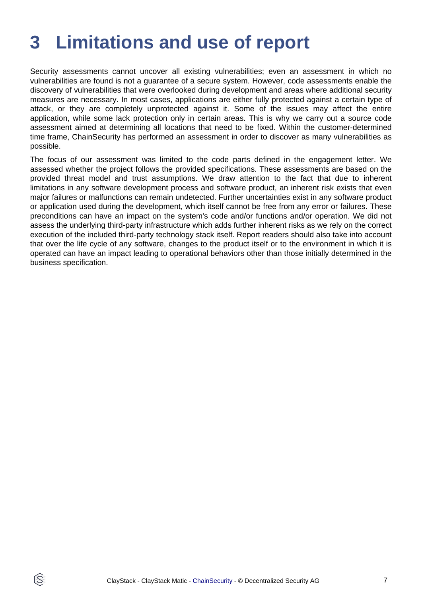# <span id="page-6-0"></span>**3 Limitations and use of report**

Security assessments cannot uncover all existing vulnerabilities; even an assessment in which no vulnerabilities are found is not a guarantee of a secure system. However, code assessments enable the discovery of vulnerabilities that were overlooked during development and areas where additional security measures are necessary. In most cases, applications are either fully protected against a certain type of attack, or they are completely unprotected against it. Some of the issues may affect the entire application, while some lack protection only in certain areas. This is why we carry out a source code assessment aimed at determining all locations that need to be fixed. Within the customer-determined time frame, ChainSecurity has performed an assessment in order to discover as many vulnerabilities as possible.

The focus of our assessment was limited to the code parts defined in the engagement letter. We assessed whether the project follows the provided specifications. These assessments are based on the provided threat model and trust assumptions. We draw attention to the fact that due to inherent limitations in any software development process and software product, an inherent risk exists that even major failures or malfunctions can remain undetected. Further uncertainties exist in any software product or application used during the development, which itself cannot be free from any error or failures. These preconditions can have an impact on the system's code and/or functions and/or operation. We did not assess the underlying third-party infrastructure which adds further inherent risks as we rely on the correct execution of the included third-party technology stack itself. Report readers should also take into account that over the life cycle of any software, changes to the product itself or to the environment in which it is operated can have an impact leading to operational behaviors other than those initially determined in the business specification.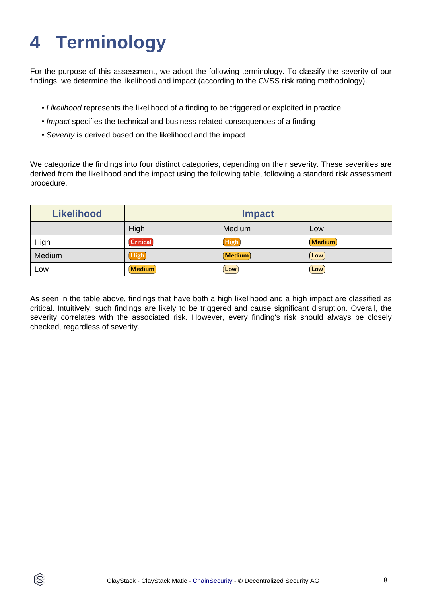# <span id="page-7-0"></span>**4 Terminology**

ĺS

For the purpose of this assessment, we adopt the following terminology. To classify the severity of our findings, we determine the likelihood and impact (according to the CVSS risk rating methodology).

- Likelihood represents the likelihood of a finding to be triggered or exploited in practice
- Impact specifies the technical and business-related consequences of a finding
- Severity is derived based on the likelihood and the impact

We categorize the findings into four distinct categories, depending on their severity. These severities are derived from the likelihood and the impact using the following table, following a standard risk assessment procedure.

| <b>Likelihood</b> | <b>Impact</b>   |        |               |
|-------------------|-----------------|--------|---------------|
|                   | High            | Medium | Low           |
| High              | <b>Critical</b> | High   | <b>Medium</b> |
| Medium            | (High)          | Medium | Low           |
| Low               | <b>Medium</b>   | Low    | Low           |

As seen in the table above, findings that have both a high likelihood and a high impact are classified as critical. Intuitively, such findings are likely to be triggered and cause significant disruption. Overall, the severity correlates with the associated risk. However, every finding's risk should always be closely checked, regardless of severity.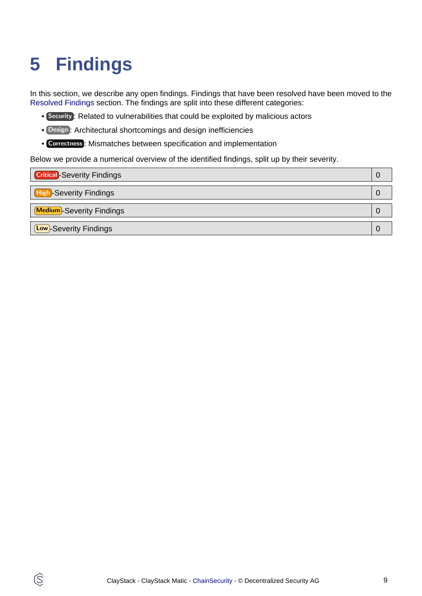# <span id="page-8-1"></span><span id="page-8-0"></span>**5 Findings**

Q

In this section, we describe any open findings. Findings that have been resolved have been moved to the [Resolved Findings](#page-9-1) section. The findings are split into these different categories:

- Security : Related to vulnerabilities that could be exploited by malicious actors
- Design : Architectural shortcomings and design inefficiencies
- Correctness : Mismatches between specification and implementation

Below we provide a numerical overview of the identified findings, split up by their severity.

| <b>Critical</b> -Severity Findings | U |
|------------------------------------|---|
| <b>High-Severity Findings</b>      |   |
| <b>Medium</b> -Severity Findings   |   |
| (Low)-Severity Findings            |   |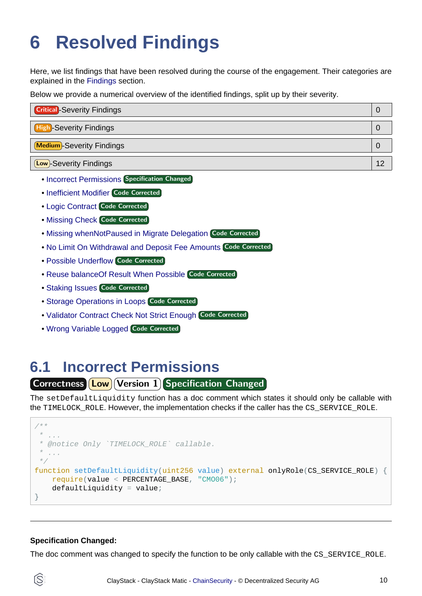# <span id="page-9-1"></span><span id="page-9-0"></span>**6 Resolved Findings**

Here, we list findings that have been resolved during the course of the engagement. Their categories are explained in the [Findings](#page-8-1) section.

Below we provide a numerical overview of the identified findings, split up by their severity.

| <b>Critical</b> -Severity Findings |    |
|------------------------------------|----|
| <b>High-Severity Findings</b>      |    |
| <b>Medium</b> -Severity Findings   |    |
| <b>Low</b> -Severity Findings      | 12 |

- [Incorrect Permissions](#page-9-2) Specification Changed
- [Inefficient Modifier](#page-10-0) Code Corrected
- [Logic Contract](#page-10-1) Code Corrected
- [Missing Check](#page-10-2) Code Corrected
- [Missing whenNotPaused in Migrate Delegation](#page-11-0) Code Corrected
- [No Limit On Withdrawal and Deposit Fee Amounts](#page-11-1) Code Corrected
- [Possible Underflow](#page-11-2) Code Corrected
- [Reuse balanceOf Result When Possible](#page-12-0) Code Corrected
- [Staking Issues](#page-12-1) Code Corrected
- **[Storage Operations in Loops](#page-12-2) Code Corrected**
- [Validator Contract Check Not Strict Enough](#page-13-0) Code Corrected
- [Wrong Variable Logged](#page-13-1) Code Corrected

### <span id="page-9-2"></span>**6.1 Incorrect Permissions**

### Correctness **Low Version 1** Specification Changed

The setDefaultLiquidity function has a doc comment which states it should only be callable with the TIMELOCK\_ROLE. However, the implementation checks if the caller has the CS\_SERVICE\_ROLE.

```
/**
\star * @notice Only `TIMELOCK_ROLE` callable.
* ...
  */
function setDefaultLiquidity(uint256 value) external onlyRole(CS SERVICE ROLE) {
    require(value < PERCENTAGE_BASE, "CMO06");
    defaultLiquidity = value;}
```
#### **Specification Changed:**

ÍŠ

The doc comment was changed to specify the function to be only callable with the CS\_SERVICE\_ROLE.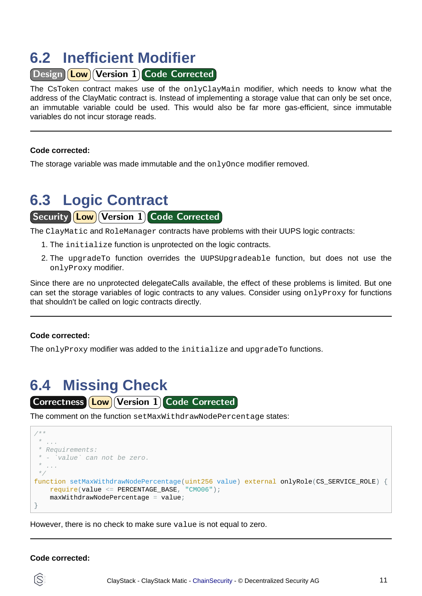### <span id="page-10-0"></span>**6.2 Inefficient Modifier**

Design **Low** Version 1 Code Corrected

The CsToken contract makes use of the onlyClayMain modifier, which needs to know what the address of the ClayMatic contract is. Instead of implementing a storage value that can only be set once, an immutable variable could be used. This would also be far more gas-efficient, since immutable variables do not incur storage reads.

#### **Code corrected:**

The storage variable was made immutable and the onlyOnce modifier removed.

## <span id="page-10-1"></span>**6.3 Logic Contract** Security **Low** Version 1 Code Corrected

The ClayMatic and RoleManager contracts have problems with their UUPS logic contracts:

- 1. The initialize function is unprotected on the logic contracts.
- 2. The upgradeTo function overrides the UUPSUpgradeable function, but does not use the onlyProxy modifier.

Since there are no unprotected delegateCalls available, the effect of these problems is limited. But one can set the storage variables of logic contracts to any values. Consider using onlyProxy for functions that shouldn't be called on logic contracts directly.

#### **Code corrected:**

The onlyProxy modifier was added to the initialize and upgradeTo functions.

### <span id="page-10-2"></span>**6.4 Missing Check** Correctness [Low] Version 1 Code Corrected

The comment on the function setMaxWithdrawNodePercentage states:



However, there is no check to make sure value is not equal to zero.

#### **Code corrected:**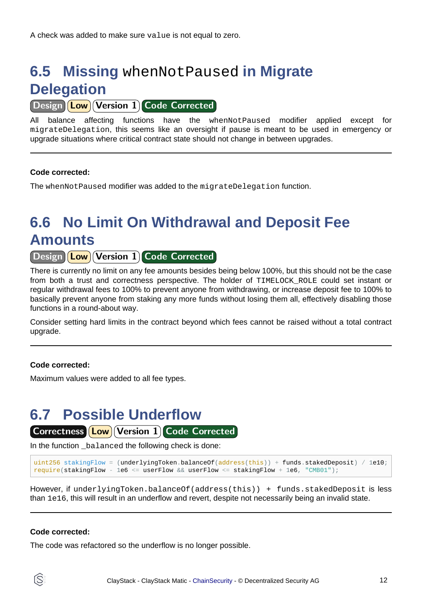## <span id="page-11-0"></span>**6.5 Missing** whenNotPaused **in Migrate Delegation**

Design **Low** Version 1 Code Corrected

All balance affecting functions have the whenNotPaused modifier applied except for migrateDelegation, this seems like an oversight if pause is meant to be used in emergency or upgrade situations where critical contract state should not change in between upgrades.

### **Code corrected:**

The whenNotPaused modifier was added to the migrateDelegation function.

## <span id="page-11-1"></span>**6.6 No Limit On Withdrawal and Deposit Fee Amounts**

Design **Low** Version 1 Code Corrected

There is currently no limit on any fee amounts besides being below 100%, but this should not be the case from both a trust and correctness perspective. The holder of TIMELOCK\_ROLE could set instant or regular withdrawal fees to 100% to prevent anyone from withdrawing, or increase deposit fee to 100% to basically prevent anyone from staking any more funds without losing them all, effectively disabling those functions in a round-about way.

Consider setting hard limits in the contract beyond which fees cannot be raised without a total contract upgrade.

#### **Code corrected:**

Maximum values were added to all fee types.

### <span id="page-11-2"></span>**6.7 Possible Underflow**

Correctness **Low** Version 1 Code Corrected

In the function balanced the following check is done:

```
uint256 stakingFlow = (underlyingToken.balanceOf(address(this)) + funds.stakedDeposit) / 1e10;
require(stakingFlow - 1e6 <= userFlow && userFlow <= stakingFlow + 1e6, "CMB01");
```
However, if underlyingToken.balanceOf(address(this)) + funds.stakedDeposit is less than 1e16, this will result in an underflow and revert, despite not necessarily being an invalid state.

#### **Code corrected:**

The code was refactored so the underflow is no longer possible.

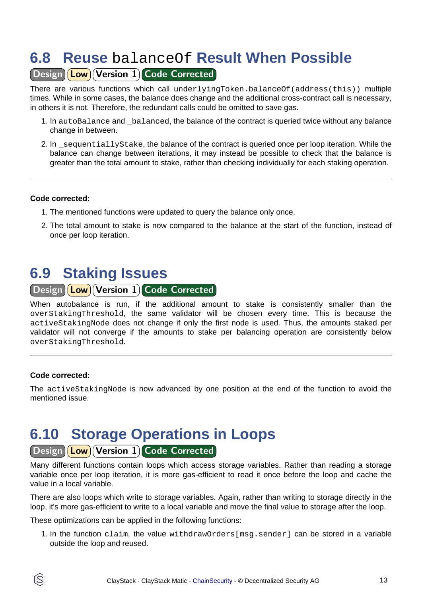### <span id="page-12-0"></span>**6.8 Reuse** balanceOf **Result When Possible**

Design Low Version 1 Code Corrected

There are various functions which call underlyingToken.balanceOf(address(this)) multiple times. While in some cases, the balance does change and the additional cross-contract call is necessary, in others it is not. Therefore, the redundant calls could be omitted to save gas.

- 1. In autoBalance and balanced, the balance of the contract is queried twice without any balance change in between.
- 2. In sequentiallyStake, the balance of the contract is queried once per loop iteration. While the balance can change between iterations, it may instead be possible to check that the balance is greater than the total amount to stake, rather than checking individually for each staking operation.

#### **Code corrected:**

- 1. The mentioned functions were updated to query the balance only once.
- 2. The total amount to stake is now compared to the balance at the start of the function, instead of once per loop iteration.

### <span id="page-12-1"></span>**6.9 Staking Issues**

### Design **Low** Version 1 Code Corrected

When autobalance is run, if the additional amount to stake is consistently smaller than the overStakingThreshold, the same validator will be chosen every time. This is because the activeStakingNode does not change if only the first node is used. Thus, the amounts staked per validator will not converge if the amounts to stake per balancing operation are consistently below overStakingThreshold.

### **Code corrected:**

S

The activeStakingNode is now advanced by one position at the end of the function to avoid the mentioned issue.

### <span id="page-12-2"></span>**6.10 Storage Operations in Loops**

### Design **Low** Version 1 Code Corrected

Many different functions contain loops which access storage variables. Rather than reading a storage variable once per loop iteration, it is more gas-efficient to read it once before the loop and cache the value in a local variable.

There are also loops which write to storage variables. Again, rather than writing to storage directly in the loop, it's more gas-efficient to write to a local variable and move the final value to storage after the loop.

These optimizations can be applied in the following functions:

1. In the function claim, the value withdrawOrders[msg.sender] can be stored in a variable outside the loop and reused.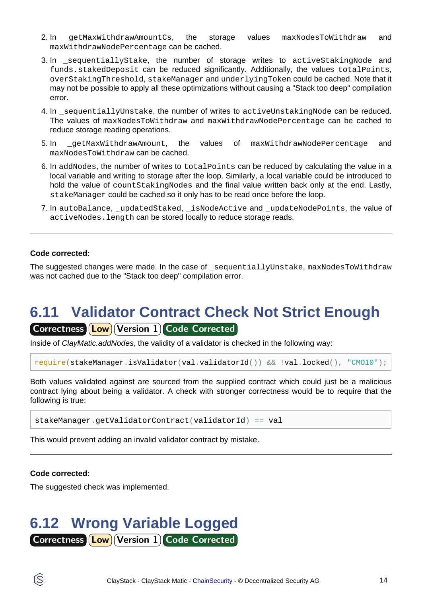- 2. In getMaxWithdrawAmountCs, the storage values maxNodesToWithdraw and maxWithdrawNodePercentage can be cached.
- 3. In \_sequentiallyStake, the number of storage writes to activeStakingNode and funds.stakedDeposit can be reduced significantly. Additionally, the values totalPoints, overStakingThreshold, stakeManager and underlyingToken could be cached. Note that it may not be possible to apply all these optimizations without causing a "Stack too deep" compilation error.
- 4. In \_sequentiallyUnstake, the number of writes to activeUnstakingNode can be reduced. The values of maxNodesToWithdraw and maxWithdrawNodePercentage can be cached to reduce storage reading operations.
- 5. In qetMaxWithdrawAmount, the values of maxWithdrawNodePercentage and maxNodesToWithdraw can be cached.
- 6. In addNodes, the number of writes to totalPoints can be reduced by calculating the value in a local variable and writing to storage after the loop. Similarly, a local variable could be introduced to hold the value of count Staking Nodes and the final value written back only at the end. Lastly, stakeManager could be cached so it only has to be read once before the loop.
- 7. In autoBalance, updatedStaked, isNodeActive and updateNodePoints, the value of activeNodes.length can be stored locally to reduce storage reads.

#### **Code corrected:**

The suggested changes were made. In the case of \_sequentiallyUnstake, maxNodesToWithdraw was not cached due to the "Stack too deep" compilation error.

## <span id="page-13-0"></span>**6.11 Validator Contract Check Not Strict Enough**

Correctness **Low Version 1 Code Corrected** 

Inside of ClayMatic.addNodes, the validity of a validator is checked in the following way:

```
require(stakeManager.isValidator(val.validatorId()) && !val.locked(), "CMO10");
```
Both values validated against are sourced from the supplied contract which could just be a malicious contract lying about being a validator. A check with stronger correctness would be to require that the following is true:

```
stakeManager.getValidatorContract(validatorId) == val
```
This would prevent adding an invalid validator contract by mistake.

#### **Code corrected:**

The suggested check was implemented.

### <span id="page-13-1"></span>**6.12 Wrong Variable Logged** Correctness **Low** Version 1 Code Corrected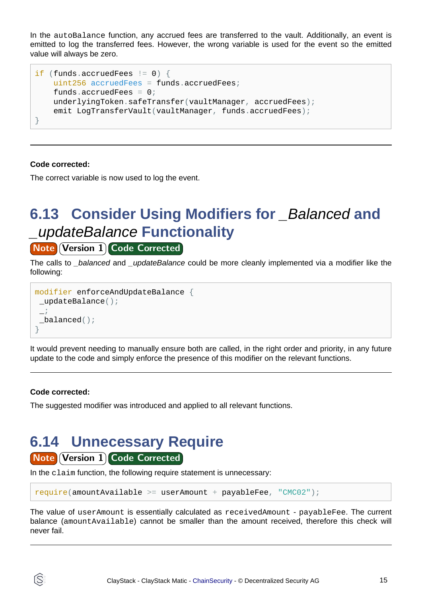In the autoBalance function, any accrued fees are transferred to the vault. Additionally, an event is emitted to log the transferred fees. However, the wrong variable is used for the event so the emitted value will always be zero.

```
if (funds.accruedFees != 0) {
    uint256 accruedFees = funds.accruedFees;
    funds.accruedFees = 0;
    underlyingToken.safeTransfer(vaultManager, accruedFees);
     emit LogTransferVault(vaultManager, funds.accruedFees);
}
```
#### **Code corrected:**

The correct variable is now used to log the event.

## **6.13 Consider Using Modifiers for** *\_Balanced* **and** \_updateBalance **Functionality**

### **Note Version 1 Code Corrected**

The calls to *balanced* and *updateBalance* could be more cleanly implemented via a modifier like the following:

```
modifier enforceAndUpdateBalance {
 _updateBalance();
 \overline{\phantom{a}} ;
 _balanced();
}
```
It would prevent needing to manually ensure both are called, in the right order and priority, in any future update to the code and simply enforce the presence of this modifier on the relevant functions.

#### **Code corrected:**

The suggested modifier was introduced and applied to all relevant functions.

## **6.14 Unnecessary Require**

### **Note Version 1 Code Corrected**

In the claim function, the following require statement is unnecessary:

```
require(amountAvailable >= userAmount + payableFee, "CMC02");
```
The value of userAmount is essentially calculated as receivedAmount - payableFee. The current balance (amountAvailable) cannot be smaller than the amount received, therefore this check will never fail.